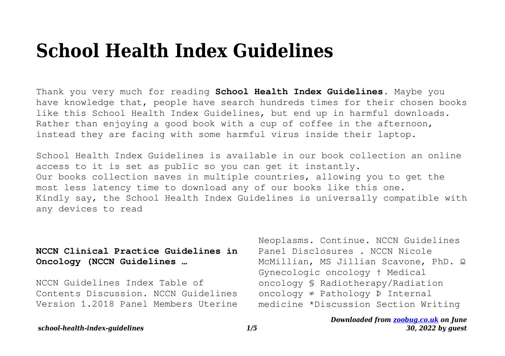# **School Health Index Guidelines**

Thank you very much for reading **School Health Index Guidelines**. Maybe you have knowledge that, people have search hundreds times for their chosen books like this School Health Index Guidelines, but end up in harmful downloads. Rather than enjoying a good book with a cup of coffee in the afternoon, instead they are facing with some harmful virus inside their laptop.

School Health Index Guidelines is available in our book collection an online access to it is set as public so you can get it instantly. Our books collection saves in multiple countries, allowing you to get the most less latency time to download any of our books like this one. Kindly say, the School Health Index Guidelines is universally compatible with any devices to read

## **NCCN Clinical Practice Guidelines in Oncology (NCCN Guidelines …**

NCCN Guidelines Index Table of Contents Discussion. NCCN Guidelines Version 1.2018 Panel Members Uterine Neoplasms. Continue. NCCN Guidelines Panel Disclosures . NCCN Nicole McMillian, MS Jillian Scavone, PhD. Ω Gynecologic oncology † Medical oncology § Radiotherapy/Radiation oncology ≠ Pathology Þ Internal medicine \*Discussion Section Writing

#### *Downloaded from [zoobug.co.uk](http://zoobug.co.uk) on June 30, 2022 by guest*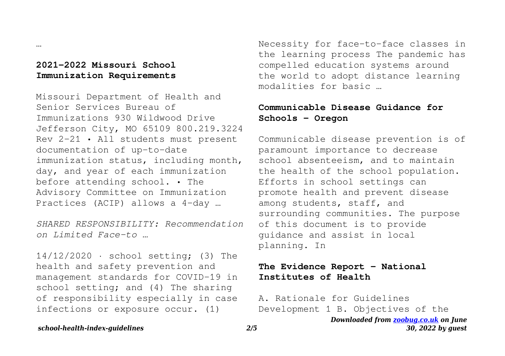## **2021-2022 Missouri School Immunization Requirements**

…

Missouri Department of Health and Senior Services Bureau of Immunizations 930 Wildwood Drive Jefferson City, MO 65109 800.219.3224 Rev 2-21 • All students must present documentation of up-to-date immunization status, including month, day, and year of each immunization before attending school. • The Advisory Committee on Immunization Practices (ACIP) allows a 4-day …

*SHARED RESPONSIBILITY: Recommendation on Limited Face-to …*

14/12/2020 · school setting; (3) The health and safety prevention and management standards for COVID-19 in school setting; and (4) The sharing of responsibility especially in case infections or exposure occur. (1)

Necessity for face-to-face classes in the learning process The pandemic has compelled education systems around the world to adopt distance learning modalities for basic …

## **Communicable Disease Guidance for Schools - Oregon**

Communicable disease prevention is of paramount importance to decrease school absenteeism, and to maintain the health of the school population. Efforts in school settings can promote health and prevent disease among students, staff, and surrounding communities. The purpose of this document is to provide guidance and assist in local planning. In

## **The Evidence Report - National Institutes of Health**

A. Rationale for Guidelines Development 1 B. Objectives of the

*Downloaded from [zoobug.co.uk](http://zoobug.co.uk) on June 30, 2022 by guest*

#### *school-health-index-guidelines 2/5*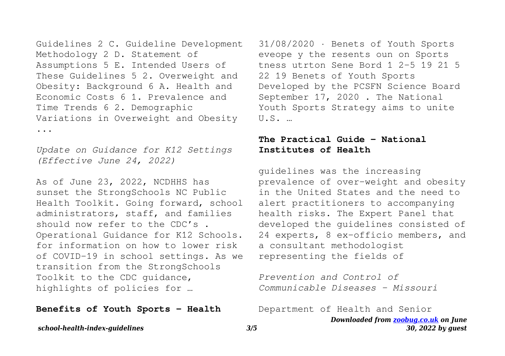Guidelines 2 C. Guideline Development Methodology 2 D. Statement of Assumptions 5 E. Intended Users of These Guidelines 5 2. Overweight and Obesity: Background 6 A. Health and Economic Costs 6 1. Prevalence and Time Trends 6 2. Demographic Variations in Overweight and Obesity ...

*Update on Guidance for K12 Settings (Effective June 24, 2022)*

As of June 23, 2022, NCDHHS has sunset the StrongSchools NC Public Health Toolkit. Going forward, school administrators, staff, and families should now refer to the CDC's Operational Guidance for K12 Schools. for information on how to lower risk of COVID-19 in school settings. As we transition from the StrongSchools Toolkit to the CDC guidance, highlights of policies for …

#### **Benefits of Youth Sports - Health**

31/08/2020 · Benets of Youth Sports eveope y the resents oun on Sports tness utrton Sene Bord 1 2–5 19 21 5 22 19 Benets of Youth Sports Developed by the PCSFN Science Board September 17, 2020 . The National Youth Sports Strategy aims to unite  $U.S.$ 

## **The Practical Guide - National Institutes of Health**

guidelines was the increasing prevalence of over-weight and obesity in the United States and the need to alert practitioners to accompanying health risks. The Expert Panel that developed the guidelines consisted of 24 experts, 8 ex-officio members, and a consultant methodologist representing the fields of

*Prevention and Control of Communicable Diseases - Missouri*

Department of Health and Senior

*Downloaded from [zoobug.co.uk](http://zoobug.co.uk) on June 30, 2022 by guest*

*school-health-index-guidelines 3/5*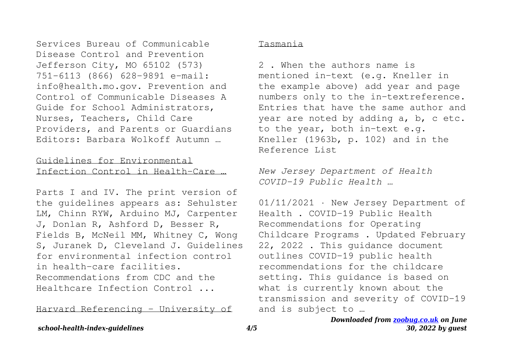Services Bureau of Communicable Disease Control and Prevention Jefferson City, MO 65102 (573) 751-6113 (866) 628-9891 e-mail: info@health.mo.gov. Prevention and Control of Communicable Diseases A Guide for School Administrators, Nurses, Teachers, Child Care Providers, and Parents or Guardians Editors: Barbara Wolkoff Autumn …

## Guidelines for Environmental Infection Control in Health-Care …

Parts I and IV. The print version of the guidelines appears as: Sehulster LM, Chinn RYW, Arduino MJ, Carpenter J, Donlan R, Ashford D, Besser R, Fields B, McNeil MM, Whitney C, Wong S, Juranek D, Cleveland J. Guidelines for environmental infection control in health-care facilities. Recommendations from CDC and the Healthcare Infection Control ...

Harvard Referencing - University of

### Tasmania

2 . When the authors name is mentioned in-text (e.g. Kneller in the example above) add year and page numbers only to the in-textreference. Entries that have the same author and year are noted by adding a, b, c etc. to the year, both in-text e.g. Kneller (1963b, p. 102) and in the Reference List

*New Jersey Department of Health COVID-19 Public Health …*

01/11/2021 · New Jersey Department of Health . COVID-19 Public Health Recommendations for Operating Childcare Programs . Updated February 22, 2022 . This guidance document outlines COVID-19 public health recommendations for the childcare setting. This guidance is based on what is currently known about the transmission and severity of COVID-19 and is subject to …